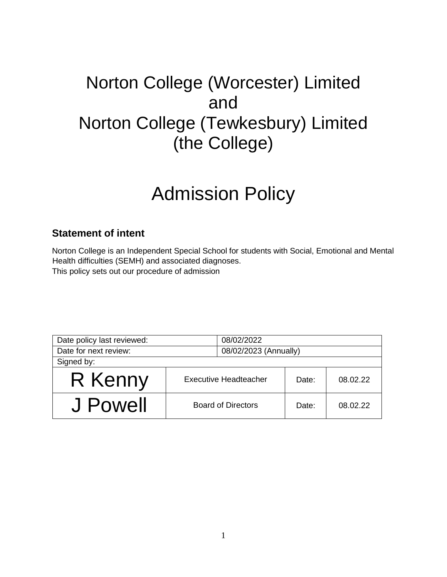## Norton College (Worcester) Limited and Norton College (Tewkesbury) Limited (the College)

# Admission Policy

### **Statement of intent**

Norton College is an Independent Special School for students with Social, Emotional and Mental Health difficulties (SEMH) and associated diagnoses. This policy sets out our procedure of admission

| Date policy last reviewed: | 08/02/2022                   |       |          |
|----------------------------|------------------------------|-------|----------|
| Date for next review:      | 08/02/2023 (Annually)        |       |          |
| Signed by:                 |                              |       |          |
| R Kenny                    | <b>Executive Headteacher</b> | Date: | 08.02.22 |
| J Powell                   | <b>Board of Directors</b>    | Date: | 08.02.22 |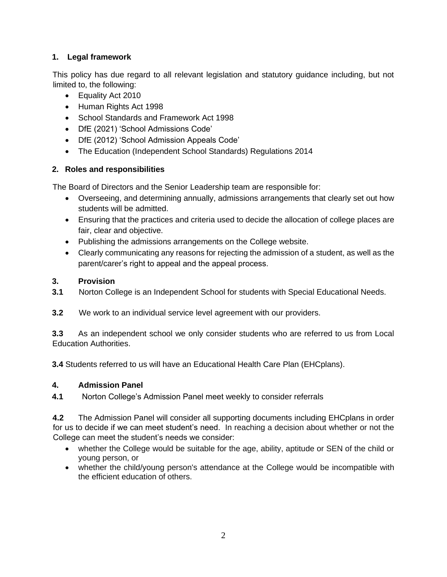#### **1. Legal framework**

This policy has due regard to all relevant legislation and statutory guidance including, but not limited to, the following:

- Equality Act 2010
- Human Rights Act 1998
- School Standards and Framework Act 1998
- DfE (2021) 'School Admissions Code'
- DfE (2012) 'School Admission Appeals Code'
- The Education (Independent School Standards) Regulations 2014

#### **2. Roles and responsibilities**

The Board of Directors and the Senior Leadership team are responsible for:

- Overseeing, and determining annually, admissions arrangements that clearly set out how students will be admitted.
- Ensuring that the practices and criteria used to decide the allocation of college places are fair, clear and objective.
- Publishing the admissions arrangements on the College website.
- Clearly communicating any reasons for rejecting the admission of a student, as well as the parent/carer's right to appeal and the appeal process.

#### **3. Provision**

- **3.1** Norton College is an Independent School for students with Special Educational Needs.
- **3.2** We work to an individual service level agreement with our providers.

**3.3** As an independent school we only consider students who are referred to us from Local Education Authorities.

**3.4** Students referred to us will have an Educational Health Care Plan (EHCplans).

#### **4. Admission Panel**

**4.1** Norton College's Admission Panel meet weekly to consider referrals

**4.2** The Admission Panel will consider all supporting documents including EHCplans in order for us to decide if we can meet student's need. In reaching a decision about whether or not the College can meet the student's needs we consider:

- whether the College would be suitable for the age, ability, aptitude or SEN of the child or young person, or
- whether the child/young person's attendance at the College would be incompatible with the efficient education of others.